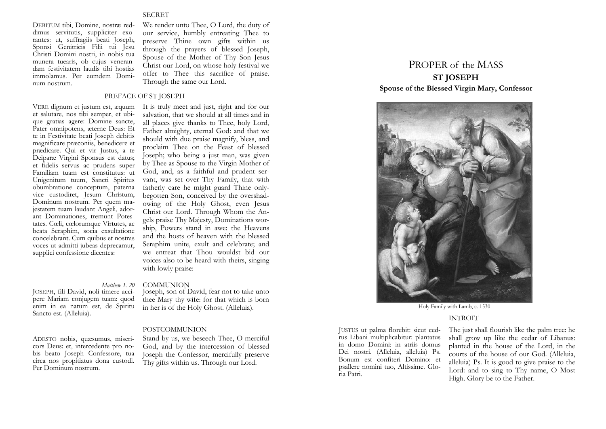# **SECRET**

DEBITUM tibi, Domine, nostræ reddimus servitutis, suppliciter exorantes: ut, suffragiis beati Joseph, Sponsi Genitricis Filii tui Jesu Christi Domini nostri, in nobis tua munera tuearis, ob cujus venerandam festivitatem laudis tibi hostias immolamus. Per eumdem Dominum nostrum.

VERE dignum et justum est, æquum et salutare, nos tibi semper, et ubique gratias agere: Domine sancte, Pater omnipotens, æterne Deus: Et te in Festivitate beati Joseph debitis magnificare præconiis, benedicere et prædicare. Qui et vir Justus, a te

Deiparæ Virgini Sponsus est datus; et fidelis servus ac prudens super Familiam tuam est constitutus: ut Unigenitum tuum, Sancti Spiritus obumbratione conceptum, paterna vice custodiret, Jesum Christum, Dominum nostrum. Per quem majestatem tuam laudant Angeli, adorant Dominationes, tremunt Potestates. Cœli, cœlorumque Virtutes, ac beata Seraphim, socia exsultatione concelebrant. Cum quibus et nostras voces ut admitti jubeas deprecamur, supplici confessione dicentes:

We render unto Thee, O Lord, the duty of our service, humbly entreating Thee to preserve Thine own gifts within us through the prayers of blessed Joseph, Spouse of the Mother of Thy Son Jesus Christ our Lord, on whose holy festival we offer to Thee this sacrifice of praise. Through the same our Lord.

# PREFACE OF ST JOSEPH

It is truly meet and just, right and for our salvation, that we should at all times and in all places give thanks to Thee, holy Lord, Father almighty, eternal God: and that we should with due praise magnify, bless, and proclaim Thee on the Feast of blessed Joseph; who being a just man, was given by Thee as Spouse to the Virgin Mother of God, and, as a faithful and prudent servant, was set over Thy Family, that with fatherly care he might guard Thine onlybegotten Son, conceived by the overshadowing of the Holy Ghost, even Jesus Christ our Lord. Through Whom the Angels praise Thy Majesty, Dominations worship, Powers stand in awe: the Heavens and the hosts of heaven with the blessed Seraphim unite, exult and celebrate; and we entreat that Thou wouldst bid our voices also to be heard with theirs, singing with lowly praise:

## *Matthew 1. 20* COMMUNION

JOSEPH, fili David, noli timere accipere Mariam conjugem tuam: quod enim in ea natum est, de Spiritu Sancto est. (Alleluia).

ADESTO nobis, quæsumus, misericors Deus: et, intercedente pro nobis beato Joseph Confessore, tua circa nos propitiatus dona custodi. Per Dominum nostrum.

# Joseph, son of David, fear not to take unto thee Mary thy wife: for that which is born in her is of the Holy Ghost. (Alleluia).

# POSTCOMMUNION

Stand by us, we beseech Thee, O merciful God, and by the intercession of blessed Joseph the Confessor, mercifully preserve Thy gifts within us. Through our Lord.

# PROPER of the MASS **ST JOSEPH Spouse of the Blessed Virgin Mary, Confessor**



Holy Family with Lamb, c. 1530

#### INTROIT

JUSTUS ut palma florebit: sicut cedrus Libani multiplicabitur: plantatus in domo Domini: in atriis domus Dei nostri. (Alleluia, alleluia) Ps. Bonum est confiteri Domino: et psallere nomini tuo, Altissime. Gloria Patri.

The just shall flourish like the palm tree: he shall grow up like the cedar of Libanus: planted in the house of the Lord, in the courts of the house of our God. (Alleluia, alleluia) Ps. It is good to give praise to the Lord: and to sing to Thy name, O Most High. Glory be to the Father.